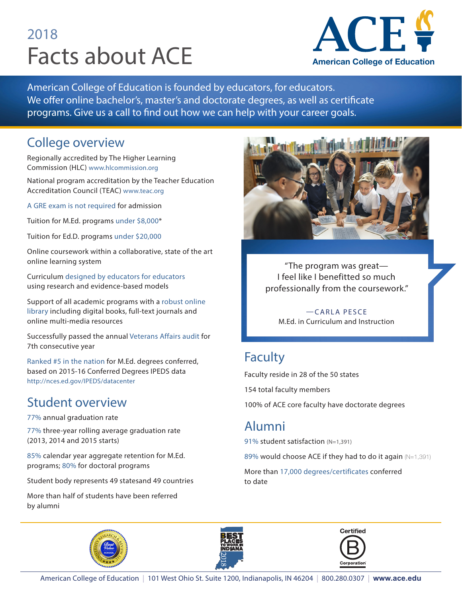# 2018 Facts about ACE



American College of Education is founded by educators, for educators. We offer online bachelor's, master's and doctorate degrees, as well as certificate programs. Give us a call to find out how we can help with your career goals.

## College overview

Regionally accredited by The Higher Learning Commission (HLC) www.hlcommission.org

National program accreditation by the Teacher Education Accreditation Council (TEAC) www.teac.org

A GRE exam is not required for admission

Tuition for M.Ed. programs under \$8,000\*

Tuition for Ed.D. programs under \$20,000

Online coursework within a collaborative, state of the art online learning system

Curriculum designed by educators for educators using research and evidence-based models

Support of all academic programs with a robust online library including digital books, full-text journals and online multi-media resources

Successfully passed the annual Veterans Affairs audit for 7th consecutive year

Ranked #5 in the nation for M.Ed. degrees conferred, based on 2015-16 Conferred Degrees IPEDS data http://nces.ed.gov/IPEDS/datacenter

## Student overview

77% annual graduation rate

77% three-year rolling average graduation rate (2013, 2014 and 2015 starts)

85% calendar year aggregate retention for M.Ed. programs; 80% for doctoral programs

Student body represents 49 statesand 49 countries

More than half of students have been referred by alumni



"The program was great— I feel like I benefitted so much professionally from the coursework."

—CARLA PESCE M.Ed. in Curriculum and Instruction

# Faculty

Faculty reside in 28 of the 50 states

154 total faculty members

100% of ACE core faculty have doctorate degrees

## Alumni

91% student satisfaction (N=1,391)

89% would choose ACE if they had to do it again (N=1,391)

More than 17,000 degrees/certificates conferred to date